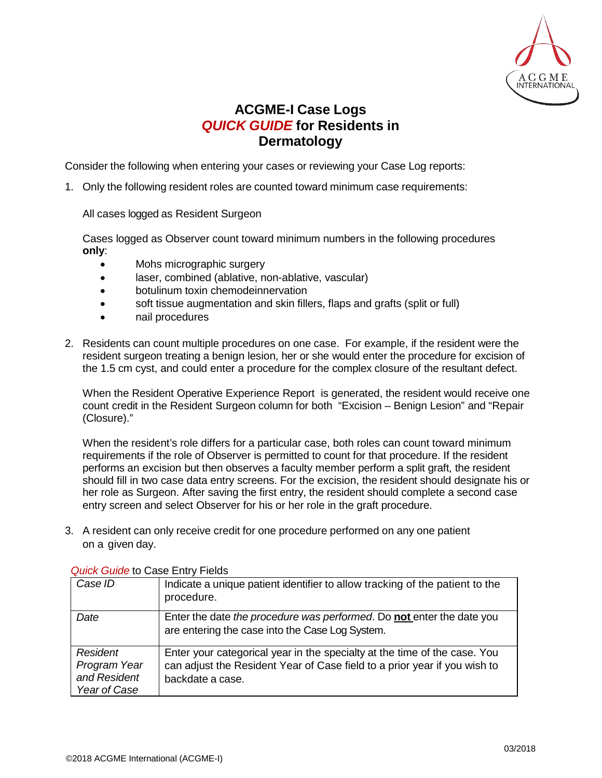

## **ACGME-I Case Logs** *QUICK GUIDE* **for Residents in Dermatology**

Consider the following when entering your cases or reviewing your Case Log reports:

1. Only the following resident roles are counted toward minimum case requirements:

All cases logged as Resident Surgeon

Cases logged as Observer count toward minimum numbers in the following procedures **only**:

- Mohs micrographic surgery
- laser, combined (ablative, non-ablative, vascular)
- botulinum toxin chemodeinnervation
- soft tissue augmentation and skin fillers, flaps and grafts (split or full)
- nail procedures
- 2. Residents can count multiple procedures on one case. For example, if the resident were the resident surgeon treating a benign lesion, her or she would enter the procedure for excision of the 1.5 cm cyst, and could enter a procedure for the complex closure of the resultant defect.

When the Resident Operative Experience Report is generated, the resident would receive one count credit in the Resident Surgeon column for both "Excision – Benign Lesion" and "Repair (Closure)."

When the resident's role differs for a particular case, both roles can count toward minimum requirements if the role of Observer is permitted to count for that procedure. If the resident performs an excision but then observes a faculty member perform a split graft, the resident should fill in two case data entry screens. For the excision, the resident should designate his or her role as Surgeon. After saving the first entry, the resident should complete a second case entry screen and select Observer for his or her role in the graft procedure.

3. A resident can only receive credit for one procedure performed on any one patient on a given day.

| Case ID                                                         | Indicate a unique patient identifier to allow tracking of the patient to the<br>procedure.                                                                                 |
|-----------------------------------------------------------------|----------------------------------------------------------------------------------------------------------------------------------------------------------------------------|
| Date                                                            | Enter the date the procedure was performed. Do not enter the date you<br>are entering the case into the Case Log System.                                                   |
| <b>Resident</b><br>Program Year<br>and Resident<br>Year of Case | Enter your categorical year in the specialty at the time of the case. You<br>can adjust the Resident Year of Case field to a prior year if you wish to<br>backdate a case. |

## *Quick Guide* to Case Entry Fields